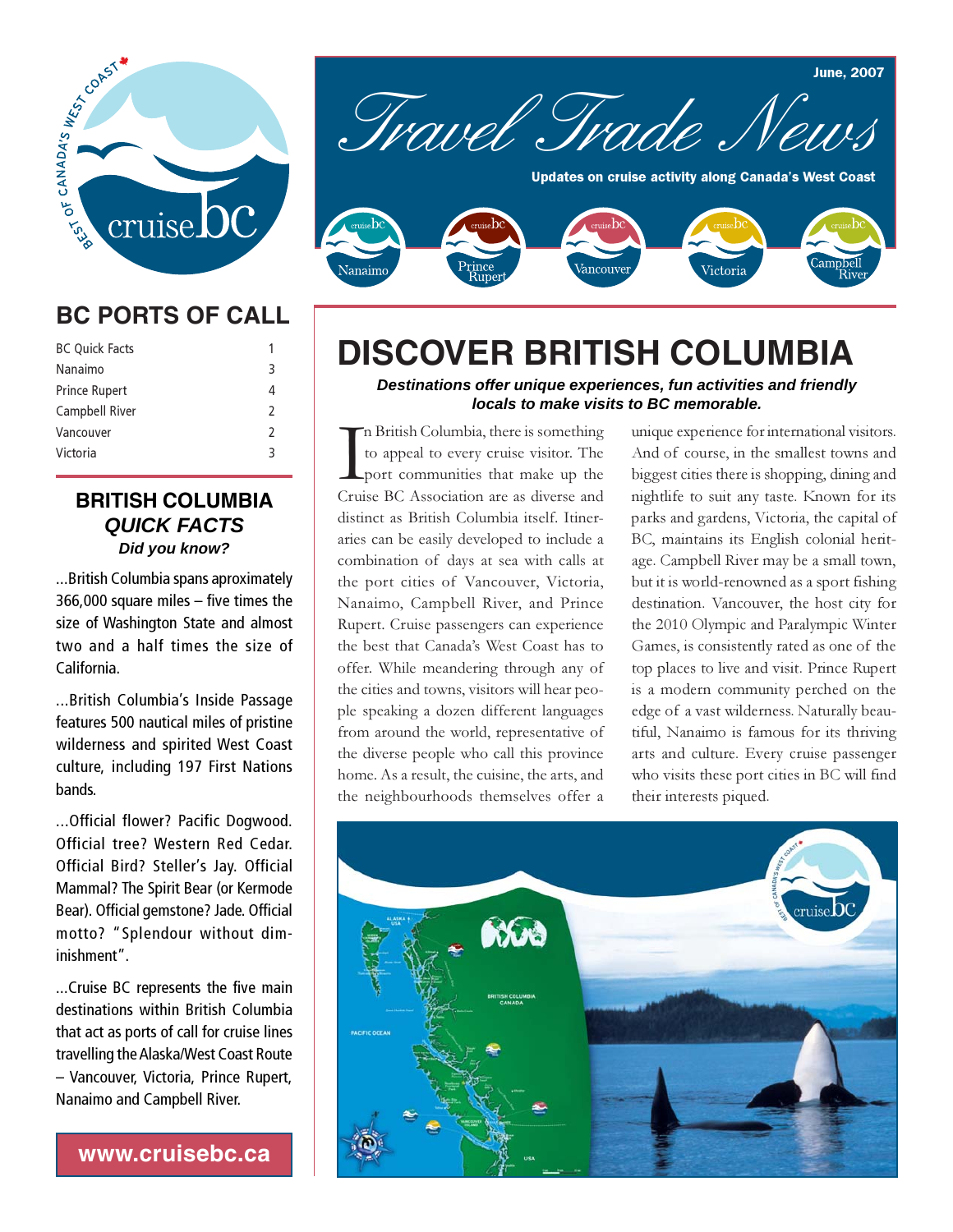

## **BC PORTS OF CALL**

| <b>BC Quick Facts</b> | 1             |
|-----------------------|---------------|
|                       | 3             |
| Nanaimo               |               |
| <b>Prince Rupert</b>  | 4             |
| Campbell River        | $\mathcal{P}$ |
| Vancouver             | $\mathcal{P}$ |
| Victoria              | २             |
|                       |               |

#### **BRITISH COLUMBIA** *QUICK FACTS Did you know?*

...British Columbia spans aproximately 366,000 square miles – five times the size of Washington State and almost two and a half times the size of California.

...British Columbia's Inside Passage features 500 nautical miles of pristine wilderness and spirited West Coast culture, including 197 First Nations bands.

...Official flower? Pacific Dogwood. Official tree? Western Red Cedar. Official Bird? Steller's Jay. Official Mammal? The Spirit Bear (or Kermode Bear). Official gemstone? Jade. Official motto? "Splendour without diminishment".

...Cruise BC represents the five main destinations within British Columbia that act as ports of call for cruise lines travelling the Alaska/West Coast Route – Vancouver, Victoria, Prince Rupert, Nanaimo and Campbell River.

**www.cruisebc.ca**



# **DISCOVER BRITISH COLUMBIA**

*Destinations offer unique experiences, fun activities and friendly locals to make visits to BC memorable.*

In British Columbia, there is something<br>to appeal to every cruise visitor. The<br>port communities that make up the<br>Cruise BC Association are as diverse and n British Columbia, there is something to appeal to every cruise visitor. The port communities that make up the distinct as British Columbia itself. Itineraries can be easily developed to include a combination of days at sea with calls at the port cities of Vancouver, Victoria, Nanaimo, Campbell River, and Prince Rupert. Cruise passengers can experience the best that Canada's West Coast has to offer. While meandering through any of the cities and towns, visitors will hear people speaking a dozen different languages from around the world, representative of the diverse people who call this province home. As a result, the cuisine, the arts, and the neighbourhoods themselves offer a unique experience for international visitors. And of course, in the smallest towns and biggest cities there is shopping, dining and nightlife to suit any taste. Known for its parks and gardens, Victoria, the capital of BC, maintains its English colonial heritage. Campbell River may be a small town, but it is world-renowned as a sport fishing destination. Vancouver, the host city for the 2010 Olympic and Paralympic Winter Games, is consistently rated as one of the top places to live and visit. Prince Rupert is a modern community perched on the edge of a vast wilderness. Naturally beautiful, Nanaimo is famous for its thriving arts and culture. Every cruise passenger who visits these port cities in BC will find their interests piqued.

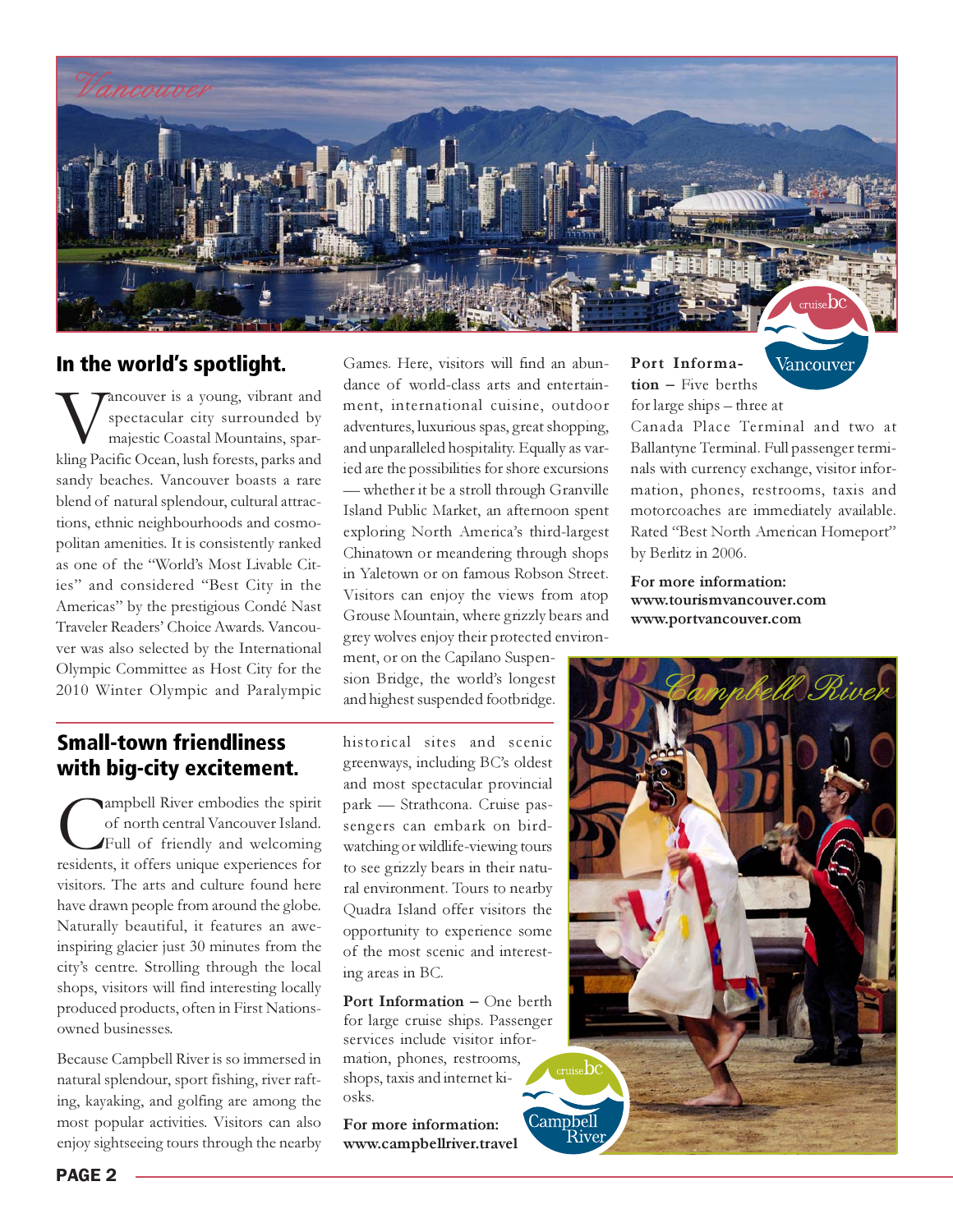

#### In the world's spotlight.

**WANCOUVERTY ASSEM**<br>
spectacular city surrounded by<br>
majestic Coastal Mountains, spark<br>
kling Pacific Ocean, lush forests, parks and spectacular city surrounded by majestic Coastal Mountains, sparsandy beaches. Vancouver boasts a rare blend of natural splendour, cultural attractions, ethnic neighbourhoods and cosmopolitan amenities. It is consistently ranked as one of the "World's Most Livable Cities" and considered "Best City in the Americas" by the prestigious Condé Nast Traveler Readers' Choice Awards. Vancouver was also selected by the International Olympic Committee as Host City for the 2010 Winter Olympic and Paralympic

Games. Here, visitors will find an abundance of world-class arts and entertainment, international cuisine, outdoor adventures, luxurious spas, great shopping, and unparalleled hospitality. Equally as varied are the possibilities for shore excursions — whether it be a stroll through Granville Island Public Market, an afternoon spent exploring North America's third-largest Chinatown or meandering through shops in Yaletown or on famous Robson Street. Visitors can enjoy the views from atop Grouse Mountain, where grizzly bears and grey wolves enjoy their protected environ-

ment, or on the Capilano Suspension Bridge, the world's longest and highest suspended footbridge. Port Information – Five berths for large ships – three at

Vancouver

Canada Place Terminal and two at Ballantyne Terminal. Full passenger terminals with currency exchange, visitor information, phones, restrooms, taxis and motorcoaches are immediately available. Rated "Best North American Homeport" by Berlitz in 2006.

For more information: www.tourismvancouver.com www.portvancouver.com

#### Small-town friendliness with big-city excitement.

Campbell River embodies the spirit of north central Vancouver Island.<br>Full of friendly and welcoming residents, it offers unique experiences for of north central Vancouver Island. Full of friendly and welcoming visitors. The arts and culture found here have drawn people from around the globe. Naturally beautiful, it features an aweinspiring glacier just 30 minutes from the city's centre. Strolling through the local shops, visitors will find interesting locally produced products, often in First Nationsowned businesses.

Because Campbell River is so immersed in natural splendour, sport fishing, river rafting, kayaking, and golfing are among the most popular activities. Visitors can also enjoy sightseeing tours through the nearby

historical sites and scenic greenways, including BC's oldest and most spectacular provincial park — Strathcona. Cruise passengers can embark on birdwatching or wildlife-viewing tours to see grizzly bears in their natural environment. Tours to nearby Quadra Island offer visitors the opportunity to experience some of the most scenic and interesting areas in BC.

Port Information – One berth for large cruise ships. Passenger services include visitor information, phones, restrooms, shops, taxis and internet kiosks.

For more information: www.campbellriver.travel

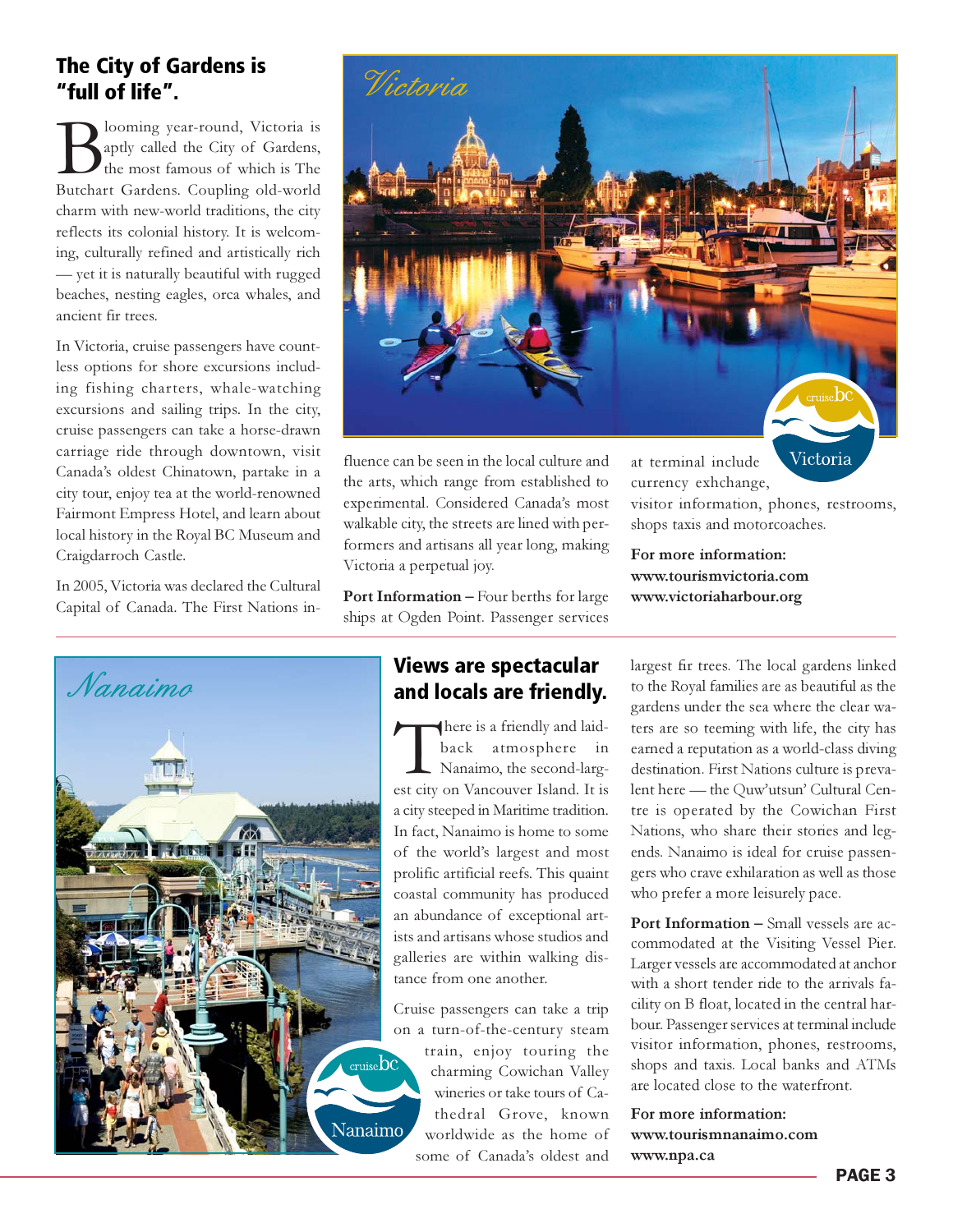### The City of Gardens is<br>"full of life" "full of life".

**B**looming year-round, Victoria is<br>the most famous of which is The<br>Butchart Gardens. Coupling old-world aptly called the City of Gardens, the most famous of which is The charm with new-world traditions, the city reflects its colonial history. It is welcoming, culturally refined and artistically rich — yet it is naturally beautiful with rugged beaches, nesting eagles, orca whales, and ancient fir trees.

In Victoria, cruise passengers have countless options for shore excursions including fishing charters, whale-watching excursions and sailing trips. In the city, cruise passengers can take a horse-drawn carriage ride through downtown, visit Canada's oldest Chinatown, partake in a city tour, enjoy tea at the world-renowned Fairmont Empress Hotel, and learn about local history in the Royal BC Museum and Craigdarroch Castle.

In 2005, Victoria was declared the Cultural Capital of Canada. The First Nations in-





fluence can be seen in the local culture and the arts, which range from established to experimental. Considered Canada's most walkable city, the streets are lined with performers and artisans all year long, making Victoria a perpetual joy.

Port Information – Four berths for large ships at Ogden Point. Passenger services

There is a friendly and laid-<br>back atmosphere in<br>Nanaimo, the second-larg-<br>est city on Vancouver Island. It is back atmosphere in Nanaimo, the second-largest city on Vancouver Island. It is a city steeped in Maritime tradition. In fact, Nanaimo is home to some of the world's largest and most prolific artificial reefs. This quaint coastal community has produced an abundance of exceptional artists and artisans whose studios and galleries are within walking distance from one another.

Cruise passengers can take a trip on a turn-of-the-century steam train, enjoy touring the charming Cowichan Valley wineries or take tours of Cathedral Grove, known worldwide as the home of some of Canada's oldest and

Victoria at terminal include currency exhchange, visitor information, phones, restrooms, shops taxis and motorcoaches.

For more information: www.tourismvictoria.com www.victoriaharbour.org

largest fir trees. The local gardens linked to the Royal families are as beautiful as the gardens under the sea where the clear waters are so teeming with life, the city has earned a reputation as a world-class diving destination. First Nations culture is prevalent here — the Quw'utsun' Cultural Centre is operated by the Cowichan First Nations, who share their stories and legends. Nanaimo is ideal for cruise passengers who crave exhilaration as well as those who prefer a more leisurely pace.

Port Information – Small vessels are accommodated at the Visiting Vessel Pier. Larger vessels are accommodated at anchor with a short tender ride to the arrivals facility on B float, located in the central harbour. Passenger services at terminal include visitor information, phones, restrooms, shops and taxis. Local banks and ATMs are located close to the waterfront.

For more information: www.tourismnanaimo.com www.npa.ca